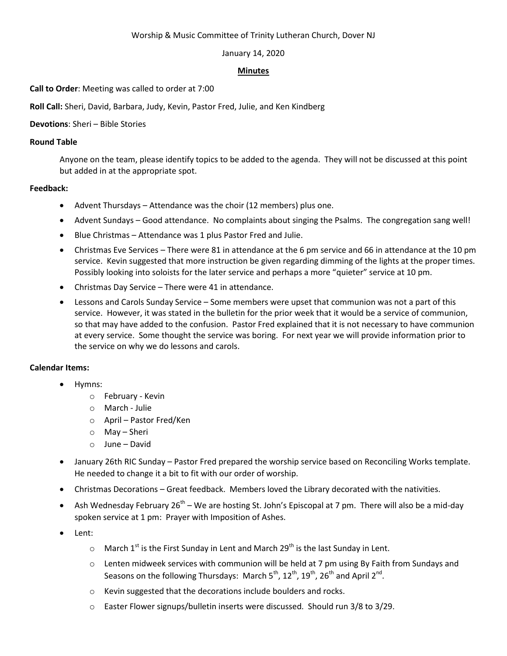### Worship & Music Committee of Trinity Lutheran Church, Dover NJ

### January 14, 2020

### **Minutes**

**Call to Order**: Meeting was called to order at 7:00

**Roll Call:** Sheri, David, Barbara, Judy, Kevin, Pastor Fred, Julie, and Ken Kindberg

# **Devotions**: Sheri – Bible Stories

# **Round Table**

Anyone on the team, please identify topics to be added to the agenda. They will not be discussed at this point but added in at the appropriate spot.

# **Feedback:**

- Advent Thursdays Attendance was the choir (12 members) plus one.
- Advent Sundays Good attendance. No complaints about singing the Psalms. The congregation sang well!
- Blue Christmas Attendance was 1 plus Pastor Fred and Julie.
- Christmas Eve Services There were 81 in attendance at the 6 pm service and 66 in attendance at the 10 pm service. Kevin suggested that more instruction be given regarding dimming of the lights at the proper times. Possibly looking into soloists for the later service and perhaps a more "quieter" service at 10 pm.
- Christmas Day Service There were 41 in attendance.
- Lessons and Carols Sunday Service Some members were upset that communion was not a part of this service. However, it was stated in the bulletin for the prior week that it would be a service of communion, so that may have added to the confusion. Pastor Fred explained that it is not necessary to have communion at every service. Some thought the service was boring. For next year we will provide information prior to the service on why we do lessons and carols.

# **Calendar Items:**

- Hymns:
	- o February Kevin
	- o March Julie
	- o April Pastor Fred/Ken
	- o May Sheri
	- o June David
- January 26th RIC Sunday Pastor Fred prepared the worship service based on Reconciling Works template. He needed to change it a bit to fit with our order of worship.
- Christmas Decorations Great feedback. Members loved the Library decorated with the nativities.
- Ash Wednesday February 26<sup>th</sup> We are hosting St. John's Episcopal at 7 pm. There will also be a mid-day spoken service at 1 pm: Prayer with Imposition of Ashes.
- Lent:
	- $\circ$  March 1<sup>st</sup> is the First Sunday in Lent and March 29<sup>th</sup> is the last Sunday in Lent.
	- o Lenten midweek services with communion will be held at 7 pm using By Faith from Sundays and Seasons on the following Thursdays: March 5<sup>th</sup>, 12<sup>th</sup>, 19<sup>th</sup>, 26<sup>th</sup> and April 2<sup>nd</sup>.
	- o Kevin suggested that the decorations include boulders and rocks.
	- $\circ$  Easter Flower signups/bulletin inserts were discussed. Should run 3/8 to 3/29.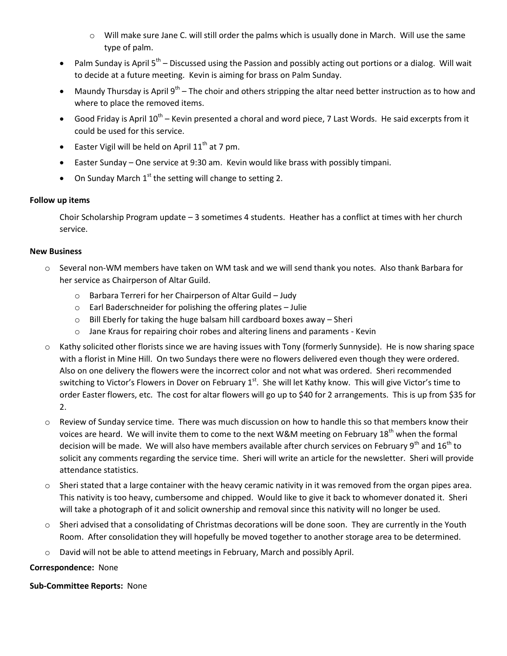- $\circ$  Will make sure Jane C. will still order the palms which is usually done in March. Will use the same type of palm.
- Palm Sunday is April  $5^{th}$  Discussed using the Passion and possibly acting out portions or a dialog. Will wait to decide at a future meeting. Kevin is aiming for brass on Palm Sunday.
- Maundy Thursday is April  $9^{th}$  The choir and others stripping the altar need better instruction as to how and where to place the removed items.
- Good Friday is April  $10^{th}$  Kevin presented a choral and word piece, 7 Last Words. He said excerpts from it could be used for this service.
- **Easter Vigil will be held on April 11**<sup>th</sup> at 7 pm.
- Easter Sunday One service at 9:30 am. Kevin would like brass with possibly timpani.
- On Sunday March  $1<sup>st</sup>$  the setting will change to setting 2.

## **Follow up items**

Choir Scholarship Program update – 3 sometimes 4 students. Heather has a conflict at times with her church service.

## **New Business**

- o Several non-WM members have taken on WM task and we will send thank you notes. Also thank Barbara for her service as Chairperson of Altar Guild.
	- o Barbara Terreri for her Chairperson of Altar Guild Judy
	- o Earl Baderschneider for polishing the offering plates Julie
	- o Bill Eberly for taking the huge balsam hill cardboard boxes away Sheri
	- o Jane Kraus for repairing choir robes and altering linens and paraments Kevin
- $\circ$  Kathy solicited other florists since we are having issues with Tony (formerly Sunnyside). He is now sharing space with a florist in Mine Hill. On two Sundays there were no flowers delivered even though they were ordered. Also on one delivery the flowers were the incorrect color and not what was ordered. Sheri recommended switching to Victor's Flowers in Dover on February 1st. She will let Kathy know. This will give Victor's time to order Easter flowers, etc. The cost for altar flowers will go up to \$40 for 2 arrangements. This is up from \$35 for 2.
- $\circ$  Review of Sunday service time. There was much discussion on how to handle this so that members know their voices are heard. We will invite them to come to the next W&M meeting on February 18<sup>th</sup> when the formal decision will be made. We will also have members available after church services on February 9<sup>th</sup> and 16<sup>th</sup> to solicit any comments regarding the service time. Sheri will write an article for the newsletter. Sheri will provide attendance statistics.
- $\circ$  Sheri stated that a large container with the heavy ceramic nativity in it was removed from the organ pipes area. This nativity is too heavy, cumbersome and chipped. Would like to give it back to whomever donated it. Sheri will take a photograph of it and solicit ownership and removal since this nativity will no longer be used.
- $\circ$  Sheri advised that a consolidating of Christmas decorations will be done soon. They are currently in the Youth Room. After consolidation they will hopefully be moved together to another storage area to be determined.
- $\circ$  David will not be able to attend meetings in February, March and possibly April.

## **Correspondence:** None

**Sub-Committee Reports:** None